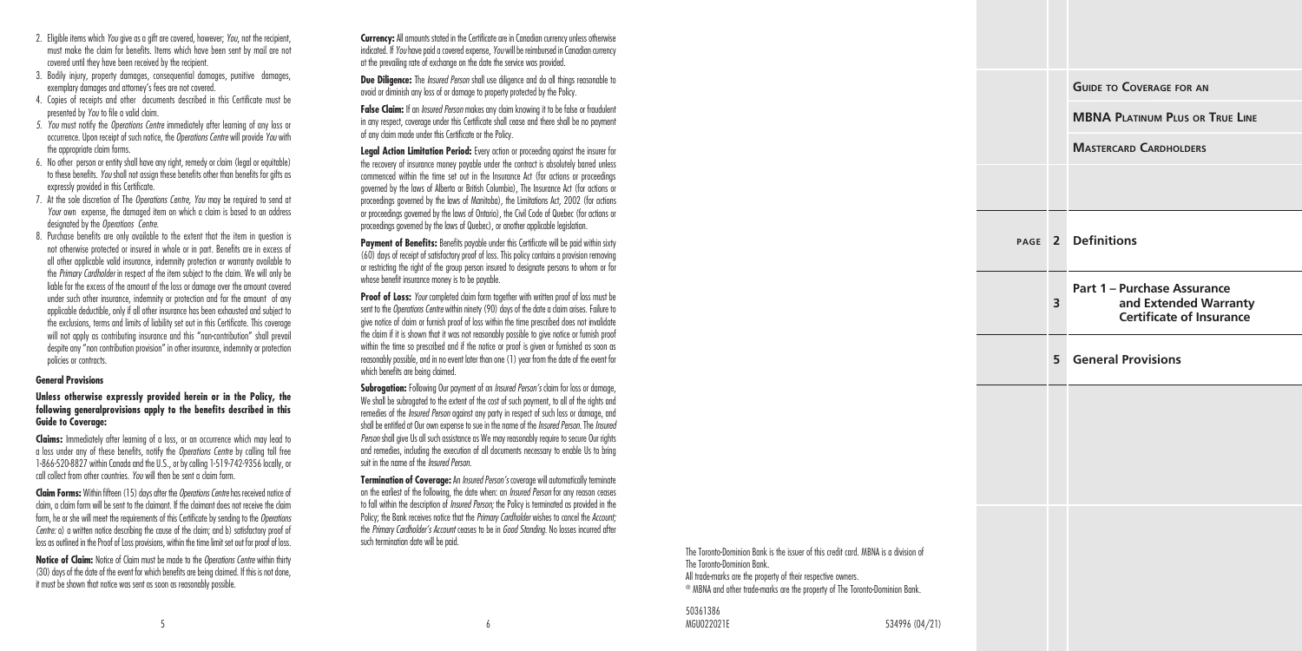- 2. Eligible items which *You* give as a gift are covered, however: *You*, not the recipient, must make the claim for benefits. Items which have been sent by mail are not covered until they have been received by the recipient.
- 3. Bodily injury, property damages, consequential damages, punitive damages, exemplary damages and attorney's fees are not covered.
- 4. Copies of receipts and other documents described in this Certificate must be presented by *You* to file a valid claim.
- *5. You* must notify the *Operations Centre* immediately after learning of any loss or occurrence. Upon receipt of such notice, the *Operations Centre* will provide *You* with the appropriate claim forms.
- 6. No other person or entity shall have any right, remedy or claim (legal or equitable) to these benefits. *You* shall not assign these benefits other than benefits for gifts as expressly provided in this Certificate.
- 7. At the sole discretion of The *Operations Centre, You* may be required to send at *Your* own expense, the damaged item on which a claim is based to an address designated by the *Operations Centre*.
- 8. Purchase benefits are only available to the extent that the item in question is not otherwise protected or insured in whole or in part. Benefits are in excess of all other applicable valid insurance, indemnity protection or warranty available to the *Primary Cardholder* in respect of the item subject to the claim. We will only be liable for the excess of the amount of the loss or damage over the amount covered under such other insurance, indemnity or protection and for the amount of any applicable deductible, only if all other insurance has been exhausted and subject to the exclusions, terms and limits of liability set out in this Certificate. This coverage will not apply as contributing insurance and this "non-contribution" shall prevail despite any "non contribution provision" in other insurance, indemnity or protection policies or contracts.

### **General Provisions**

#### **Unless otherwise expressly provided herein or in the Policy, the following generalprovisions apply to the benefits described in this Guide to Coverage:**

**Claims:** Immediately after learning of a loss, or an occurrence which may lead to a loss under any of these benefits, notify the *Operations Centre* by calling toll free 1-866-520-8827 within Canada and the U.S., or by calling 1-519-742-9356 locally, or call collect from other countries. *You* will then be sent a claim form.

**Claim Forms:** Within fifteen (15) days after the *Operations Centre* has received notice of claim, a claim form will be sent to the claimant. If the claimant does not receive the claim form, he or she will meet the requirements of this Certificate by sending to the *Operations Centre:* a) a written notice describing the cause of the claim; and b) satisfactory proof of loss as outlined in the Proof of Loss provisions, within the time limit set out for proof of loss.

**Notice of Claim:** Notice of Claim must be made to the *Operations Centre* within thirty (30) days of the date of the event for which benefits are being claimed. If this is not done, it must be shown that notice was sent as soon as reasonably possible.

**Currency:** All amounts stated in the Certificate are in Canadian currency unless otherwise indicated. If *You* have paid a covered expense, *You* will be reimbursed in Canadian currency at the prevailing rate of exchange on the date the service was provided.

**Due Diligence:** The *Insured Person* shall use diligence and do all things reasonable to avoid or diminish any loss of or damage to property protected by the Policy.

**False Claim:** If an *Insured Person* makes any claim knowing it to be false or fraudulent in any respect, coverage under this Certificate shall cease and there shall be no payment of any claim made under this Certificate or the Policy.

**Legal Action Limitation Period:** Every action or proceeding against the insurer for the recovery of insurance money payable under the contract is absolutely barred unless commenced within the time set out in the Insurance Act (for actions or proceedings governed by the laws of Alberta or British Columbia), The Insurance Act (for actions or proceedings governed by the laws of Manitoba), the Limitations Act, 2002 (for actions or proceedings governed by the laws of Ontario), the Civil Code of Quebec (for actions or proceedings governed by the laws of Quebec), or another applicable legislation.

Payment of Benefits: Benefits payable under this Certificate will be paid within sixty (60) days of receipt of satisfactory proof of loss. This policy contains a provision removing or restricting the right of the group person insured to designate persons to whom or for whose benefit insurance money is to be payable.

**Proof of Loss:** *Your* completed claim form together with written proof of loss must be sent to the *Operations Centre* within ninety (90) days of the date a claim arises. Failure to give notice of claim or furnish proof of loss within the time prescribed does not invalidate the claim if it is shown that it was not reasonably possible to give notice or furnish proof within the time so prescribed and if the notice or proof is given or furnished as soon as reasonably possible, and in no event later than one (1) year from the date of the event for which benefits are being claimed.

**Subrogation:** Following Our payment of an *Insured Person's* claim for loss or damage, We shall be subrogated to the extent of the cost of such payment, to all of the rights and remedies of the *Insured Person* against any party in respect of such loss or damage, and shall be entitled at Our own expense to sue in the name of the *Insured Person*. The *Insured Person* shall give Us all such assistance as We may reasonably require to secure Our rights and remedies, including the execution of all documents necessary to enable Us to bring suit in the name of the *Insured Person*.

**Termination of Coverage:** An *Insured Person's* coverage will automatically terminate on the earliest of the following, the date when: an *Insured Person* for any reason ceases to fall within the description of *Insured Person;* the Policy is terminated as provided in the Policy; the Bank receives notice that the *Primary Cardholder* wishes to cancel the *Account;* the *Primary Cardholder's Account* ceases to be in *Good Standing*. No losses incurred after

|                                                                                                                                                                                                                                                                            |   | <b>GUIDE TO COVERAGE FOR AN</b>                                                         |
|----------------------------------------------------------------------------------------------------------------------------------------------------------------------------------------------------------------------------------------------------------------------------|---|-----------------------------------------------------------------------------------------|
|                                                                                                                                                                                                                                                                            |   | <b>MBNA PLATINUM PLUS OR TRUE LINE</b>                                                  |
|                                                                                                                                                                                                                                                                            |   | <b>MASTERCARD CARDHOLDERS</b>                                                           |
|                                                                                                                                                                                                                                                                            |   |                                                                                         |
|                                                                                                                                                                                                                                                                            |   | PAGE 2 Definitions                                                                      |
|                                                                                                                                                                                                                                                                            | 3 | Part 1 - Purchase Assurance<br>and Extended Warranty<br><b>Certificate of Insurance</b> |
|                                                                                                                                                                                                                                                                            | 5 | <b>General Provisions</b>                                                               |
|                                                                                                                                                                                                                                                                            |   |                                                                                         |
|                                                                                                                                                                                                                                                                            |   |                                                                                         |
|                                                                                                                                                                                                                                                                            |   |                                                                                         |
|                                                                                                                                                                                                                                                                            |   |                                                                                         |
| The Toronto-Dominion Bank is the issuer of this credit card. MBNA is a division of<br>The Toronto-Dominion Bank.<br>All trade-marks are the property of their respective owners.<br><sup>®</sup> MBNA and other trade-marks are the property of The Toronto-Dominion Bank. |   |                                                                                         |
|                                                                                                                                                                                                                                                                            |   |                                                                                         |

50361386